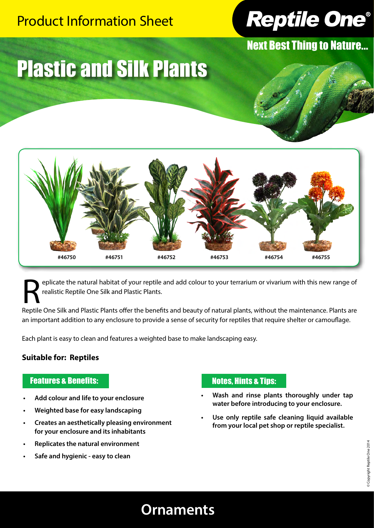### Product Information Sheet



Next Best Thing to Nature...

# Plastic and Silk Plants



eplicate the natural habitat of your reptile and add colour to your terrarium or vivarium with this new range of realistic Reptile One Silk and Plastic Plants.

Reptile One Silk and Plastic Plants offer the benefits and beauty of natural plants, without the maintenance. Plants are an important addition to any enclosure to provide a sense of security for reptiles that require shelter or camouflage.

Each plant is easy to clean and features a weighted base to make landscaping easy.

#### **Suitable for: Reptiles**

#### Features & Benefits:

- **• Add colour and life to your enclosure**
- **• Weighted base for easy landscaping**
- **• Creates an aesthetically pleasing environment for your enclosure and its inhabitants**
- **• Replicates the natural environment**
- **• Safe and hygienic easy to clean**

#### Notes, Hints & Tips:

- **• Wash and rinse plants thoroughly under tap water before introducing to your enclosure.**
- **• Use only reptile safe cleaning liquid available from your local pet shop or reptile specialist.**

### **Ornaments**